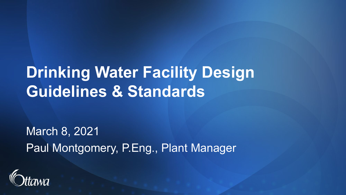### **Drinking Water Facility Design Guidelines & Standards**

March 8, 2021 Paul Montgomery, P.Eng., Plant Manager

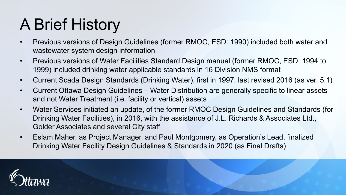# A Brief History

- Previous versions of Design Guidelines (former RMOC, ESD: 1990) included both water and wastewater system design information
- Previous versions of Water Facilities Standard Design manual (former RMOC, ESD: 1994 to 1999) included drinking water applicable standards in 16 Division NMS format
- Current Scada Design Standards (Drinking Water), first in 1997, last revised 2016 (as ver. 5.1)
- Current Ottawa Design Guidelines Water Distribution are generally specific to linear assets and not Water Treatment (i.e. facility or vertical) assets
- Water Services initiated an update, of the former RMOC Design Guidelines and Standards (for Drinking Water Facilities), in 2016, with the assistance of J.L. Richards & Associates Ltd., Golder Associates and several City staff
- Eslam Maher, as Project Manager, and Paul Montgomery, as Operation's Lead, finalized Drinking Water Facility Design Guidelines & Standards in 2020 (as Final Drafts)

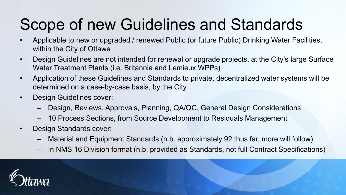# Scope of new Guidelines and Standards

- Applicable to new or upgraded / renewed Public (or future Public) Drinking Water Facilities, within the City of Ottawa
- Design Guidelines are not intended for renewal or upgrade projects, at the City's large Surface Water Treatment Plants (i.e. Britannia and Lemieux WPPs)
- Application of these Guidelines and Standards to private, decentralized water systems will be determined on a case-by-case basis, by the City
- Design Guidelines cover:
	- Design, Reviews, Approvals, Planning, QA/QC, General Design Considerations
	- 10 Process Sections, from Source Development to Residuals Management
- Design Standards cover:
	- Material and Equipment Standards (n.b. approximately 92 thus far, more will follow)
	- In NMS 16 Division format (n.b. provided as Standards, not full Contract Specifications)

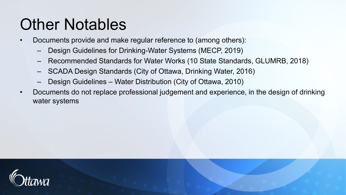#### Other Notables

- Documents provide and make regular reference to (among others):
	- Design Guidelines for Drinking-Water Systems (MECP, 2019)
	- Recommended Standards for Water Works (10 State Standards, GLUMRB, 2018)
	- SCADA Design Standards (City of Ottawa, Drinking Water, 2016)
	- Design Guidelines Water Distribution (City of Ottawa, 2010)
- Documents do not replace professional judgement and experience, in the design of drinking water systems

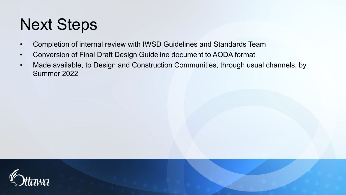# Next Steps

- Completion of internal review with IWSD Guidelines and Standards Team
- Conversion of Final Draft Design Guideline document to AODA format
- Made available, to Design and Construction Communities, through usual channels, by Summer 2022